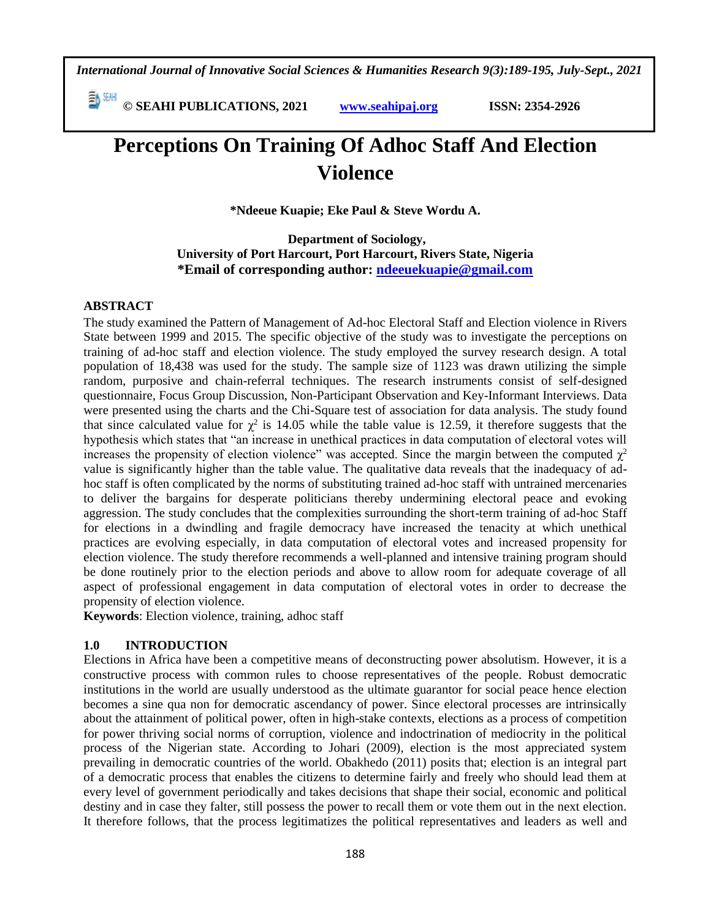*International Journal of Innovative Social Sciences & Humanities Research 9(3):189-195, July-Sept., 2021*

 **© SEAHI PUBLICATIONS, 2021 [www.seahipaj.org](http://www.seahipaj.org/) ISSN: 2354-2926** 

# **Perceptions On Training Of Adhoc Staff And Election Violence**

**\*Ndeeue Kuapie; Eke Paul & Steve Wordu A.**

**Department of Sociology, University of Port Harcourt, Port Harcourt, Rivers State, Nigeria \*Email of corresponding author: [ndeeuekuapie@gmail.com](mailto:ndeeuekuapie@gmail.com)**

# **ABSTRACT**

The study examined the Pattern of Management of Ad-hoc Electoral Staff and Election violence in Rivers State between 1999 and 2015. The specific objective of the study was to investigate the perceptions on training of ad-hoc staff and election violence. The study employed the survey research design. A total population of 18,438 was used for the study. The sample size of 1123 was drawn utilizing the simple random, purposive and chain-referral techniques. The research instruments consist of self-designed questionnaire, Focus Group Discussion, Non-Participant Observation and Key-Informant Interviews. Data were presented using the charts and the Chi-Square test of association for data analysis. The study found that since calculated value for  $\chi^2$  is 14.05 while the table value is 12.59, it therefore suggests that the hypothesis which states that "an increase in unethical practices in data computation of electoral votes will increases the propensity of election violence" was accepted. Since the margin between the computed  $\chi^2$ value is significantly higher than the table value. The qualitative data reveals that the inadequacy of adhoc staff is often complicated by the norms of substituting trained ad-hoc staff with untrained mercenaries to deliver the bargains for desperate politicians thereby undermining electoral peace and evoking aggression. The study concludes that the complexities surrounding the short-term training of ad-hoc Staff for elections in a dwindling and fragile democracy have increased the tenacity at which unethical practices are evolving especially, in data computation of electoral votes and increased propensity for election violence. The study therefore recommends a well-planned and intensive training program should be done routinely prior to the election periods and above to allow room for adequate coverage of all aspect of professional engagement in data computation of electoral votes in order to decrease the propensity of election violence.

**Keywords**: Election violence, training, adhoc staff

# **1.0 INTRODUCTION**

Elections in Africa have been a competitive means of deconstructing power absolutism. However, it is a constructive process with common rules to choose representatives of the people. Robust democratic institutions in the world are usually understood as the ultimate guarantor for social peace hence election becomes a sine qua non for democratic ascendancy of power. Since electoral processes are intrinsically about the attainment of political power, often in high-stake contexts, elections as a process of competition for power thriving social norms of corruption, violence and indoctrination of mediocrity in the political process of the Nigerian state. According to Johari (2009), election is the most appreciated system prevailing in democratic countries of the world. Obakhedo (2011) posits that; election is an integral part of a democratic process that enables the citizens to determine fairly and freely who should lead them at every level of government periodically and takes decisions that shape their social, economic and political destiny and in case they falter, still possess the power to recall them or vote them out in the next election. It therefore follows, that the process legitimatizes the political representatives and leaders as well and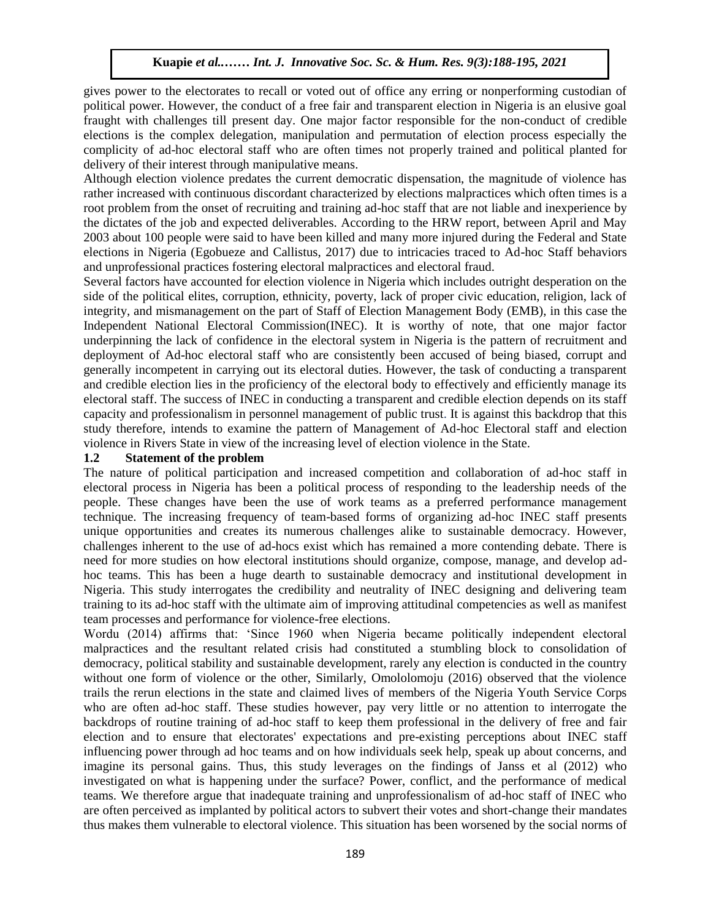gives power to the electorates to recall or voted out of office any erring or nonperforming custodian of political power. However, the conduct of a free fair and transparent election in Nigeria is an elusive goal fraught with challenges till present day. One major factor responsible for the non-conduct of credible fraught with challenges till present day. One major factor responsible for the non-conduct of credible elections is the complex delegation, manipulation and permutation of election process especially the complicity of ad-hoc electoral staff who are often times not properly trained and political planted for delivery of their interest through manipulative means.

Although election violence predates the current democratic dispensation, the magnitude of violence has rather increased with continuous discordant characterized by elections malpractices which often times is a root problem from the onset of recruiting and training ad-hoc staff that are not liable and inexperience by the dictates of the job and expected deliverables. According to the HRW report, between April and May 2003 about 100 people were said to have been killed and many more injured during the Federal and State elections in Nigeria (Egobueze and Callistus, 2017) due to intricacies traced to Ad-hoc Staff behaviors and unprofessional practices fostering electoral malpractices and electoral fraud.

Several factors have accounted for election violence in Nigeria which includes outright desperation on the side of the political elites, corruption, ethnicity, poverty, lack of proper civic education, religion, lack of integrity, and mismanagement on the part of Staff of Election Management Body (EMB), in this case the Independent National Electoral Commission(INEC). It is worthy of note, that one major factor underpinning the lack of confidence in the electoral system in Nigeria is the pattern of recruitment and deployment of Ad-hoc electoral staff who are consistently been accused of being biased, corrupt and generally incompetent in carrying out its electoral duties. However, the task of conducting a transparent and credible election lies in the proficiency of the electoral body to effectively and efficiently manage its electoral staff. The success of INEC in conducting a transparent and credible election depends on its staff capacity and professionalism in personnel management of public trust. It is against this backdrop that this study therefore, intends to examine the pattern of Management of Ad-hoc Electoral staff and election violence in Rivers State in view of the increasing level of election violence in the State.

#### **1.2 Statement of the problem**

The nature of political participation and increased competition and collaboration of ad-hoc staff in electoral process in Nigeria has been a political process of responding to the leadership needs of the people. These changes have been the use of work teams as a preferred performance management technique. The increasing frequency of team-based forms of organizing ad-hoc INEC staff presents unique opportunities and creates its numerous challenges alike to sustainable democracy. However, challenges inherent to the use of ad-hocs exist which has remained a more contending debate. There is need for more studies on how electoral institutions should organize, compose, manage, and develop adhoc teams. This has been a huge dearth to sustainable democracy and institutional development in Nigeria. This study interrogates the credibility and neutrality of INEC designing and delivering team training to its ad-hoc staff with the ultimate aim of improving attitudinal competencies as well as manifest team processes and performance for violence-free elections.

Wordu (2014) affirms that: 'Since 1960 when Nigeria became politically independent electoral malpractices and the resultant related crisis had constituted a stumbling block to consolidation of democracy, political stability and sustainable development, rarely any election is conducted in the country without one form of violence or the other, Similarly, Omololomoju (2016) observed that the violence trails the rerun elections in the state and claimed lives of members of the Nigeria Youth Service Corps who are often ad-hoc staff. These studies however, pay very little or no attention to interrogate the backdrops of routine training of ad-hoc staff to keep them professional in the delivery of free and fair election and to ensure that electorates' expectations and pre-existing perceptions about INEC staff influencing power through ad hoc teams and on how individuals seek help, speak up about concerns, and imagine its personal gains. Thus, this study leverages on the findings of Janss et al (2012) who investigated on what is happening under the surface? Power, conflict, and the performance of medical teams. We therefore argue that inadequate training and unprofessionalism of ad-hoc staff of INEC who are often perceived as implanted by political actors to subvert their votes and short-change their mandates thus makes them vulnerable to electoral violence. This situation has been worsened by the social norms of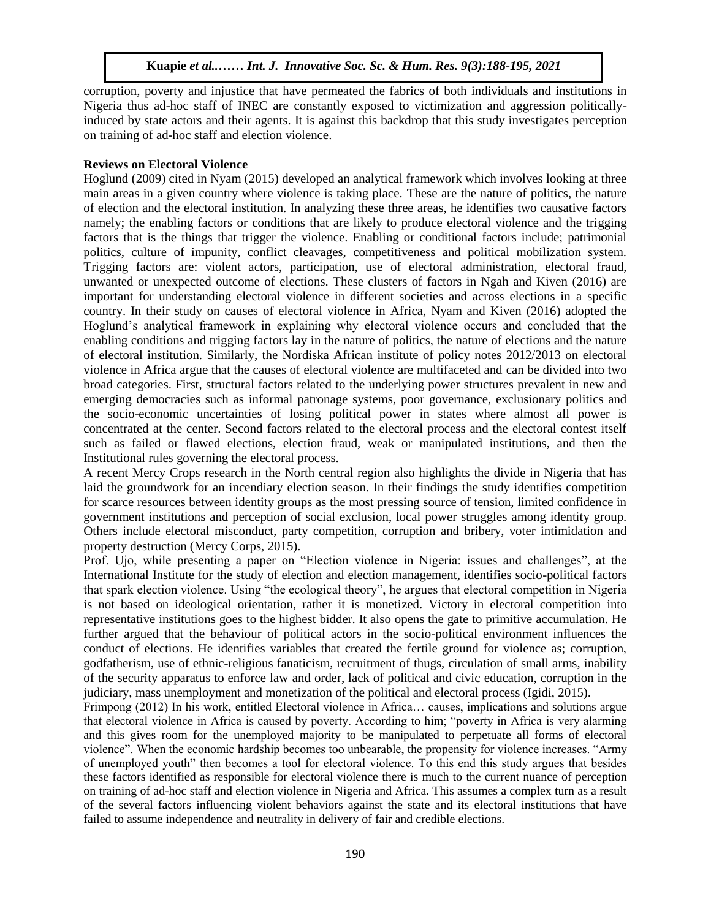corruption, poverty and injustice that have permeated the fabrics of both individuals and institutions in Nigeria thus ad-hoc staff of INEC are constantly exposed to victimization and aggression politicallyinduced by state actors and their agents. It is against this backdrop that this study investigates perception on training of ad-hoc staff and election violence.

#### **Reviews on Electoral Violence**

**Reviews on Electoral Violence**<br>Hoglund (2009) cited in Nyam (2015) developed an analytical framework which involves looking at three main areas in a given country where violence is taking place. These are the nature of politics, the nature of election and the electoral institution. In analyzing these three areas, he identifies two causative factors namely; the enabling factors or conditions that are likely to produce electoral violence and the trigging factors that is the things that trigger the violence. Enabling or conditional factors include; patrimonial politics, culture of impunity, conflict cleavages, competitiveness and political mobilization system. Trigging factors are: violent actors, participation, use of electoral administration, electoral fraud, Ingging ractors are: violent actors, participation, use of electional administration, electional fraud, unwanted or unexpected outcome of elections. These clusters of factors in Ngah and Kiven (2016) are important for understanding electoral violence in different societies and across elections in a specific country. In their study on causes of electoral violence in Africa, Nyam and Kiven (2016) adopted the Hoglund's analytical framework in explaining why electoral violence occurs and concluded that the enabling conditions and trigging factors lay in the nature of politics, the nature of elections and the nature of electoral institution. Similarly, the Nordiska African institute of policy notes 2012/2013 on electoral violence in Africa argue that the causes of electoral violence are multifaceted and can be divided into two broad categories. First, structural factors related to the underlying power structures prevalent in new and broad categories. First, structural factors related to the underlying power structures prevalent in new and emerging democracies such as informal patronage systems, poor governance, exclusionary politics and the socio-economic uncertainties of losing political power in states where almost all power is concentrated at the center. Second factors related to the electoral process and the electoral contest itself such as failed or flawed elections, election fraud, weak or manipulated institutions, and then the Institutional rules governing the electoral process.

A recent Mercy Crops research in the North central region also highlights the divide in Nigeria that has laid the groundwork for an incendiary election season. In their findings the study identifies competition for scarce resources between identity groups as the most pressing source of tension, limited confidence in government institutions and perception of social exclusion, local power struggles among identity group. Others include electoral misconduct, party competition, corruption and bribery, voter intimidation and property destruction (Mercy Corps, 2015).

Prof. Ujo, while presenting a paper on "Election violence in Nigeria: issues and challenges", at the International Institute for the study of election and election management, identifies socio-political factors that spark election violence. Using "the ecological theory", he argues that electoral competition in Nigeria is not based on ideological orientation, rather it is monetized. Victory in electoral competition into representative institutions goes to the highest bidder. It also opens the gate to primitive accumulation. He further argued that the behaviour of political actors in the socio-political environment influences the conduct of elections. He identifies variables that created the fertile ground for violence as; corruption, godfatherism, use of ethnic-religious fanaticism, recruitment of thugs, circulation of small arms, inability of the security apparatus to enforce law and order, lack of political and civic education, corruption in the judiciary, mass unemployment and monetization of the political and electoral process (Igidi, 2015).

Frimpong (2012) In his work, entitled Electoral violence in Africa… causes, implications and solutions argue that electoral violence in Africa is caused by poverty. According to him; "poverty in Africa is very alarming and this gives room for the unemployed majority to be manipulated to perpetuate all forms of electoral violence". When the economic hardship becomes too unbearable, the propensity for violence increases. "Army of unemployed youth" then becomes a tool for electoral violence. To this end this study argues that besides these factors identified as responsible for electoral violence there is much to the current nuance of perception on training of ad-hoc staff and election violence in Nigeria and Africa. This assumes a complex turn as a result of the several factors influencing violent behaviors against the state and its electoral institutions that have failed to assume independence and neutrality in delivery of fair and credible elections.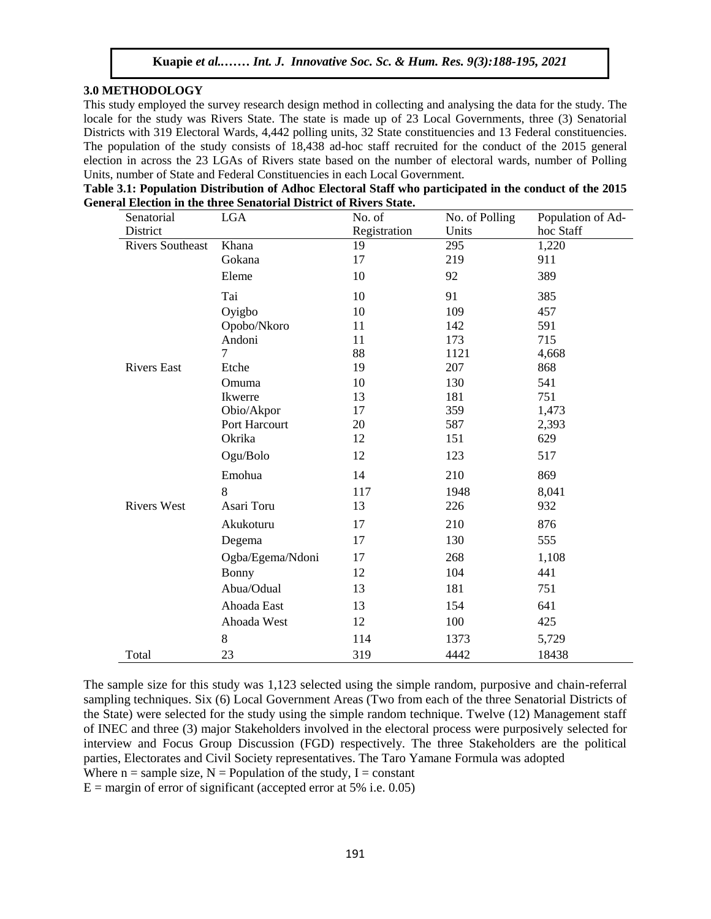# **3.0 METHODOLOGY**

This study employed the survey research design method in collecting and analysing the data for the study. The Interested the study was Rivers State. The state is made up of 23 Local Governments, three (3) Senatorial locale for the study was Rivers State. The state is made up of 23 Local Governments, three (3) Senatorial Districts with 319 Electoral Wards, 4,442 polling units, 32 State constituencies and 13 Federal constituencies. The population of the study consists of 18,438 ad-hoc staff recruited for the conduct of the 2015 general election in across the 23 LGAs of Rivers state based on the number of electoral wards, number of Polling Units, number of State and Federal Constituencies in each Local Government.

| Table 3.1: Population Distribution of Adhoc Electoral Staff who participated in the conduct of the 2015 |
|---------------------------------------------------------------------------------------------------------|
| General Election in the three Senatorial District of Rivers State.                                      |

| Senatorial              | <b>LGA</b>       | No. of       | No. of Polling | Population of Ad- |
|-------------------------|------------------|--------------|----------------|-------------------|
| District                |                  | Registration | Units          | hoc Staff         |
| <b>Rivers Southeast</b> | Khana            | 19           | 295            | 1,220             |
|                         | Gokana           | 17           | 219            | 911               |
|                         | Eleme            | 10           | 92             | 389               |
|                         | Tai              | 10           | 91             | 385               |
|                         | Oyigbo           | 10           | 109            | 457               |
|                         | Opobo/Nkoro      | 11           | 142            | 591               |
|                         | Andoni           | 11           | 173            | 715               |
|                         | 7                | 88           | 1121           | 4,668             |
| <b>Rivers East</b>      | Etche            | 19           | 207            | 868               |
|                         | Omuma            | 10           | 130            | 541               |
|                         | Ikwerre          | 13           | 181            | 751               |
|                         | Obio/Akpor       | 17           | 359            | 1,473             |
|                         | Port Harcourt    | 20           | 587            | 2,393             |
|                         | Okrika           | 12           | 151            | 629               |
|                         | Ogu/Bolo         | 12           | 123            | 517               |
|                         | Emohua           | 14           | 210            | 869               |
|                         | 8                | 117          | 1948           | 8,041             |
| <b>Rivers West</b>      | Asari Toru       | 13           | 226            | 932               |
|                         | Akukoturu        | 17           | 210            | 876               |
|                         | Degema           | 17           | 130            | 555               |
|                         | Ogba/Egema/Ndoni | 17           | 268            | 1,108             |
|                         | <b>Bonny</b>     | 12           | 104            | 441               |
|                         | Abua/Odual       | 13           | 181            | 751               |
|                         | Ahoada East      | 13           | 154            | 641               |
|                         | Ahoada West      | 12           | 100            | 425               |
|                         | 8                | 114          | 1373           | 5,729             |
| Total                   | 23               | 319          | 4442           | 18438             |

The sample size for this study was 1,123 selected using the simple random, purposive and chain-referral sampling techniques. Six (6) Local Government Areas (Two from each of the three Senatorial Districts of the State) were selected for the study using the simple random technique. Twelve (12) Management staff of INEC and three (3) major Stakeholders involved in the electoral process were purposively selected for interview and Focus Group Discussion (FGD) respectively. The three Stakeholders are the political parties, Electorates and Civil Society representatives. The Taro Yamane Formula was adopted Where  $n =$  sample size,  $N =$  Population of the study, I = constant

 $E =$  margin of error of significant (accepted error at 5% i.e. 0.05)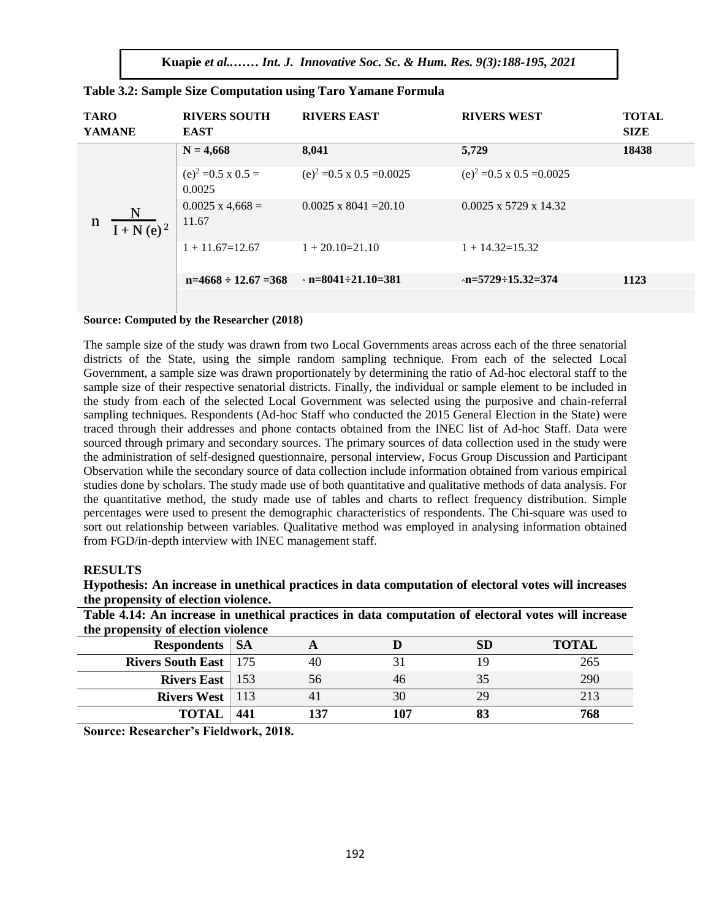**Kuapie** *et al..…… Int. J. Innovative Soc. Sc. & Hum. Res. 9(3):188-195, 2021*

| <b>TARO</b><br><b>YAMANE</b>                | <b>RIVERS SOUTH</b><br><b>EAST</b>   | <b>RIVERS EAST</b>                | <b>RIVERS WEST</b>                | <b>TOTAL</b><br><b>SIZE</b> |
|---------------------------------------------|--------------------------------------|-----------------------------------|-----------------------------------|-----------------------------|
|                                             | $N = 4,668$                          | 8,041                             | 5,729                             | 18438                       |
|                                             | $(e)^2 = 0.5 \times 0.5 =$<br>0.0025 | $(e)^2 = 0.5 \times 0.5 = 0.0025$ | $(e)^2 = 0.5 \times 0.5 = 0.0025$ |                             |
| N<br>$\mathbf n$<br>$\overline{I + N(e)^2}$ | $0.0025$ x 4,668 =<br>11.67          | $0.0025 \times 8041 = 20.10$      | $0.0025 \times 5729 \times 14.32$ |                             |
|                                             | $1 + 11.67 = 12.67$                  | $1 + 20.10 = 21.10$               | $1 + 14.32 = 15.32$               |                             |
|                                             | $n=4668 \div 12.67 = 368$            | $n = 8041 - 21.10 = 381$          | $n=5729-15.32=374$                | 1123                        |

|  |  |  |  |  |  | Table 3.2: Sample Size Computation using Taro Yamane Formula |
|--|--|--|--|--|--|--------------------------------------------------------------|
|  |  |  |  |  |  |                                                              |

# **Source: Computed by the Researcher (2018)**

The sample size of the study was drawn from two Local Governments areas across each of the three senatorial districts of the State, using the simple random sampling technique. From each of the selected Local Government, a sample size was drawn proportionately by determining the ratio of Ad-hoc electoral staff to the sample size of their respective senatorial districts. Finally, the individual or sample element to be included in the study from each of the selected Local Government was selected using the purposive and chain-referral sampling techniques. Respondents (Ad-hoc Staff who conducted the 2015 General Election in the State) were traced through their addresses and phone contacts obtained from the INEC list of Ad-hoc Staff. Data were sourced through primary and secondary sources. The primary sources of data collection used in the study were the administration of self-designed questionnaire, personal interview, Focus Group Discussion and Participant Observation while the secondary source of data collection include information obtained from various empirical studies done by scholars. The study made use of both quantitative and qualitative methods of data analysis. For the quantitative method, the study made use of tables and charts to reflect frequency distribution. Simple percentages were used to present the demographic characteristics of respondents. The Chi-square was used to sort out relationship between variables. Qualitative method was employed in analysing information obtained from FGD/in-depth interview with INEC management staff.

#### **RESULTS**

**Hypothesis: An increase in unethical practices in data computation of electoral votes will increases the propensity of election violence.**

**Table 4.14: An increase in unethical practices in data computation of electoral votes will increase the propensity of election violence**

| <b>Respondents</b>   SA        |     |                 |     | SD | <b>TOTAL</b> |
|--------------------------------|-----|-----------------|-----|----|--------------|
| <b>Rivers South East</b>   175 |     | 40              |     |    | 265          |
| <b>Rivers East</b>   $153$     |     | 56              | 46  | 35 | 290          |
| <b>Rivers West</b>   $113$     |     |                 | 30  | 29 | 213          |
| <b>TOTAL</b>                   | 441 | 13 <sup>7</sup> | 107 |    | 768          |

**Source: Researcher's Fieldwork, 2018.**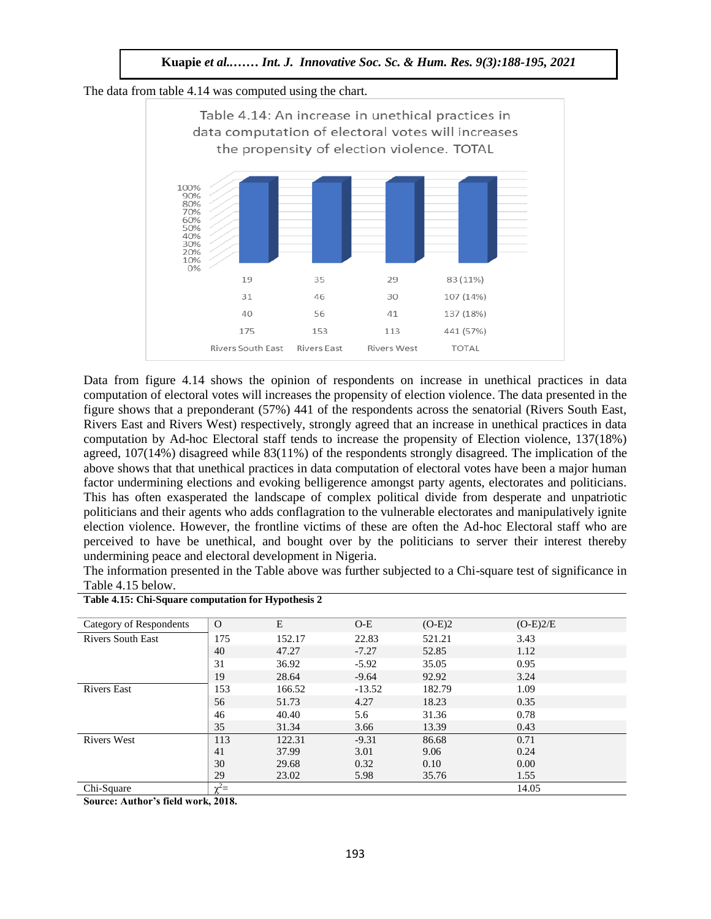The data from table 4.14 was computed using the chart.



Data from figure 4.14 shows the opinion of respondents on increase in unethical practices in data computation of electoral votes will increases the propensity of election violence. The data presented in the figure shows that a preponderant (57%) 441 of the respondents across the senatorial (Rivers South East, Rivers East and Rivers West) respectively, strongly agreed that an increase in unethical practices in data computation by Ad-hoc Electoral staff tends to increase the propensity of Election violence, 137(18%) agreed, 107(14%) disagreed while 83(11%) of the respondents strongly disagreed. The implication of the above shows that that unethical practices in data computation of electoral votes have been a major human factor undermining elections and evoking belligerence amongst party agents, electorates and politicians. This has often exasperated the landscape of complex political divide from desperate and unpatriotic politicians and their agents who adds conflagration to the vulnerable electorates and manipulatively ignite election violence. However, the frontline victims of these are often the Ad-hoc Electoral staff who are perceived to have be unethical, and bought over by the politicians to server their interest thereby undermining peace and electoral development in Nigeria.

The information presented in the Table above was further subjected to a Chi-square test of significance in Table 4.15 below.

| Category of Respondents  | $\Omega$   | E      | $O-E$    | $(O-E)2$ | $(O-E)2/E$ |
|--------------------------|------------|--------|----------|----------|------------|
| <b>Rivers South East</b> | 175        | 152.17 | 22.83    | 521.21   | 3.43       |
|                          | 40         | 47.27  | $-7.27$  | 52.85    | 1.12       |
|                          | 31         | 36.92  | $-5.92$  | 35.05    | 0.95       |
|                          | 19         | 28.64  | $-9.64$  | 92.92    | 3.24       |
| <b>Rivers East</b>       | 153        | 166.52 | $-13.52$ | 182.79   | 1.09       |
|                          | 56         | 51.73  | 4.27     | 18.23    | 0.35       |
|                          | 46         | 40.40  | 5.6      | 31.36    | 0.78       |
|                          | 35         | 31.34  | 3.66     | 13.39    | 0.43       |
| <b>Rivers West</b>       | 113        | 122.31 | $-9.31$  | 86.68    | 0.71       |
|                          | 41         | 37.99  | 3.01     | 9.06     | 0.24       |
|                          | 30         | 29.68  | 0.32     | 0.10     | 0.00       |
|                          | 29         | 23.02  | 5.98     | 35.76    | 1.55       |
| Chi-Square               | $\chi^2 =$ |        |          |          | 14.05      |

**Table 4.15: Chi-Square computation for Hypothesis 2**

**Source: Author's field work, 2018.**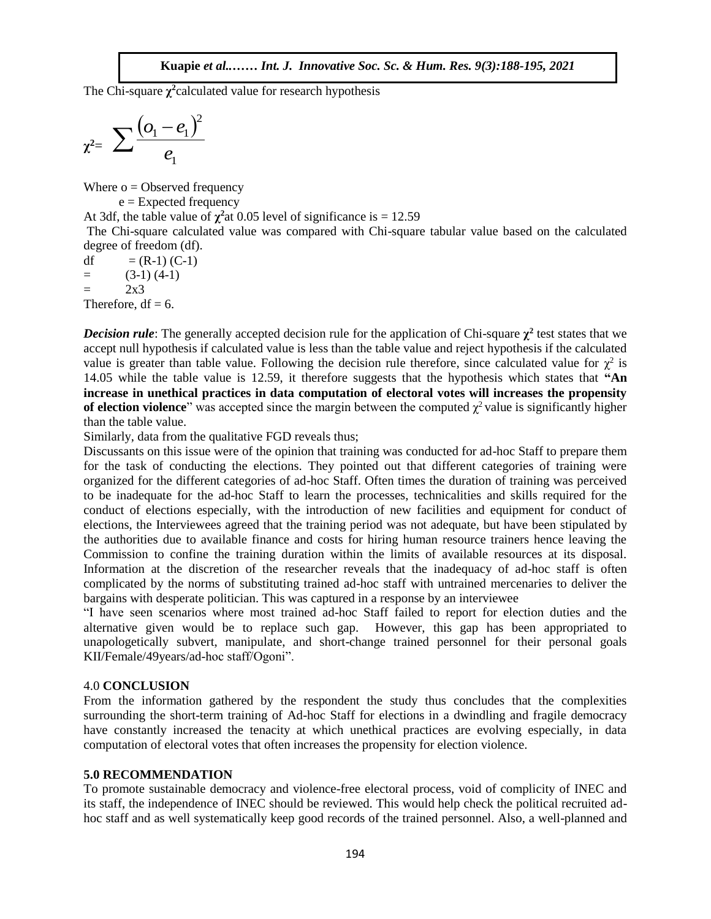The Chi-square  $\chi^2$  calculated value for research hypothesis

$$
\chi^2 = \sum \frac{(o_1 - e_1)^2}{e_1}
$$

Where  $o = Observed frequency$ 

 $e =$  Expected frequency

At 3df, the table value of  $\chi^2$  at 0.05 level of significance is = 12.59

The Chi-square calculated value was compared with Chi-square tabular value based on the calculated degree of freedom (df).

df  $= (R-1) (C-1)$  $=$  (3-1) (4-1)  $=$  2x3 Therefore,  $df = 6$ .

**Decision rule**: The generally accepted decision rule for the application of Chi-square  $\chi^2$  test states that we accept null hypothesis if calculated value is less than the table value and reject hypothesis if the calculated value is greater than table value. Following the decision rule therefore, since calculated value for  $\chi^2$  is 14.05 while the table value is 12.59, it therefore suggests that the hypothesis which states that "An **increase in unethical practices in data computation of electoral votes will increases the propensity of election violence**" was accepted since the margin between the computed  $\chi^2$  value is significantly higher than the table value.

From the discrete value.<br>Similarly, data from the qualitative FGD reveals thus;

Discussants on this issue were of the opinion that training was conducted for ad-hoc Staff to prepare them for the task of conducting the elections. They pointed out that different categories of training were organized for the different categories of ad-hoc Staff. Often times the duration of training was perceived to be inadequate for the ad-hoc Staff to learn the processes, technicalities and skills required for the conduct of elections especially, with the introduction of new facilities and equipment for conduct of elections, the Interviewees agreed that the training period was not adequate, but have been stipulated by the authorities due to available finance and costs for hiring human resource trainers hence leaving the Commission to confine the training duration within the limits of available resources at its disposal. Information at the discretion of the researcher reveals that the inadequacy of ad-hoc staff is often complicated by the norms of substituting trained ad-hoc staff with untrained mercenaries to deliver the bargains with desperate politician. This was captured in a response by an interviewee

"I have seen scenarios where most trained ad-hoc Staff failed to report for election duties and the alternative given would be to replace such gap. However, this gap has been appropriated to unapologetically subvert, manipulate, and short-change trained personnel for their personal goals KII/Female/49years/ad-hoc staff/Ogoni".

# 4.0 **CONCLUSION**

From the information gathered by the respondent the study thus concludes that the complexities surrounding the short-term training of Ad-hoc Staff for elections in a dwindling and fragile democracy have constantly increased the tenacity at which unethical practices are evolving especially, in data computation of electoral votes that often increases the propensity for election violence.

#### **5.0 RECOMMENDATION**

To promote sustainable democracy and violence-free electoral process, void of complicity of INEC and its staff, the independence of INEC should be reviewed. This would help check the political recruited adhoc staff and as well systematically keep good records of the trained personnel. Also, a well-planned and